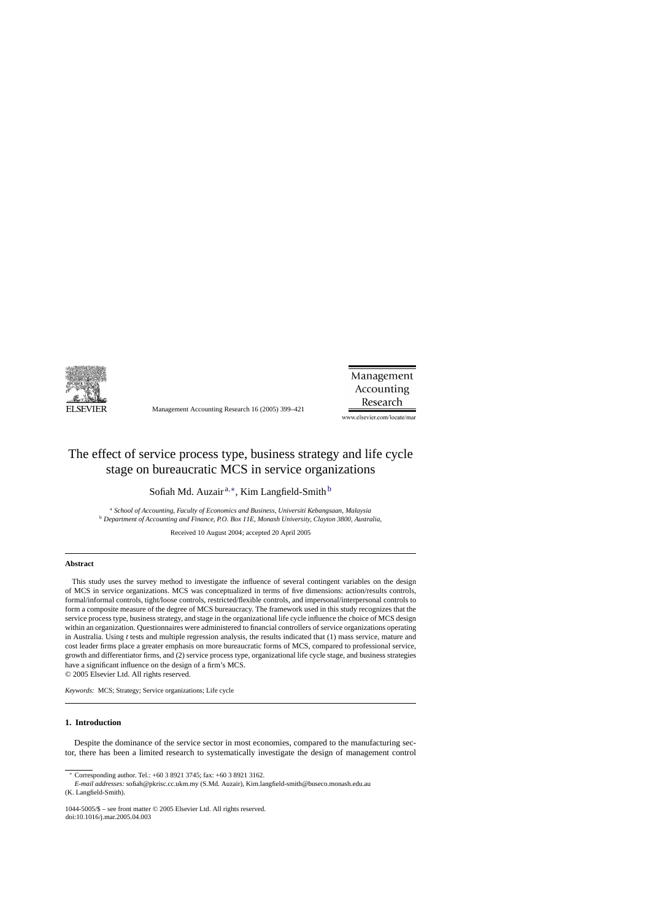

Management Accounting Research 16 (2005) 399–421

Management Accounting Research

www.elsevier.com/locate/mar

## The effect of service process type, business strategy and life cycle stage on bureaucratic MCS in service organizations

Sofiah Md. Auzair<sup>a,∗</sup>, Kim Langfield-Smith<sup>b</sup>

<sup>a</sup> *School of Accounting, Faculty of Economics and Business, Universiti Kebangsaan, Malaysia* <sup>b</sup> *Department of Accounting and Finance, P.O. Box 11E, Monash University, Clayton 3800, Australia,*

Received 10 August 2004; accepted 20 April 2005

## **Abstract**

This study uses the survey method to investigate the influence of several contingent variables on the design of MCS in service organizations. MCS was conceptualized in terms of five dimensions: action/results controls, formal/informal controls, tight/loose controls, restricted/flexible controls, and impersonal/interpersonal controls to form a composite measure of the degree of MCS bureaucracy. The framework used in this study recognizes that the service process type, business strategy, and stage in the organizational life cycle influence the choice of MCS design within an organization. Questionnaires were administered to financial controllers of service organizations operating in Australia. Using *t* tests and multiple regression analysis, the results indicated that (1) mass service, mature and cost leader firms place a greater emphasis on more bureaucratic forms of MCS, compared to professional service, growth and differentiator firms, and (2) service process type, organizational life cycle stage, and business strategies have a significant influence on the design of a firm's MCS. © 2005 Elsevier Ltd. All rights reserved.

*Keywords:* MCS; Strategy; Service organizations; Life cycle

## **1. Introduction**

Despite the dominance of the service sector in most economies, compared to the manufacturing sector, there has been a limited research to systematically investigate the design of management control

<sup>∗</sup> Corresponding author. Tel.: +60 3 8921 3745; fax: +60 3 8921 3162.

*E-mail addresses:* sofiah@pkrisc.cc.ukm.my (S.Md. Auzair), Kim.langfield-smith@buseco.monash.edu.au (K. Langfield-Smith).

<sup>1044-5005/\$ –</sup> see front matter © 2005 Elsevier Ltd. All rights reserved. doi:10.1016/j.mar.2005.04.003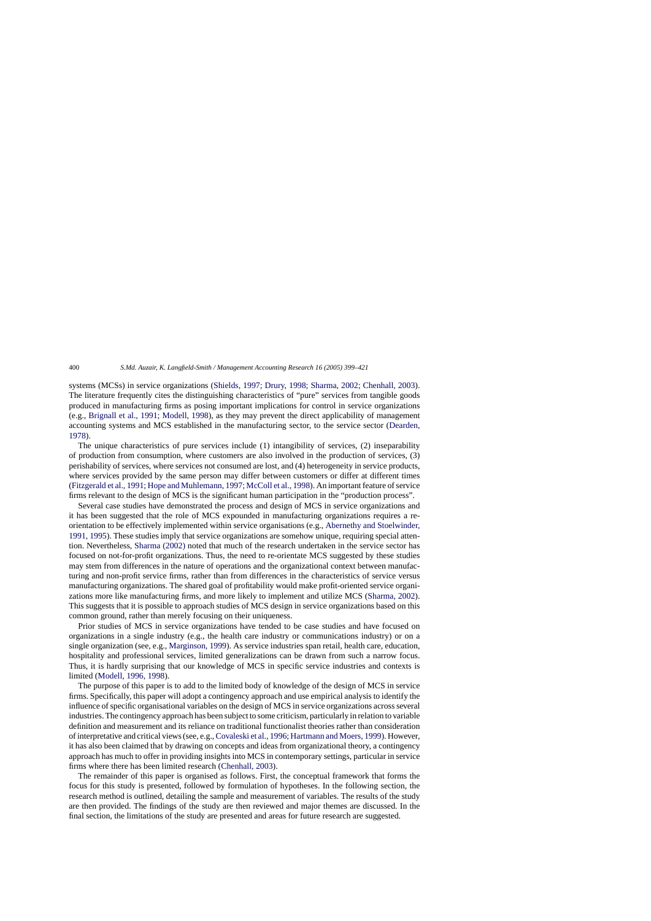systems (MCSs) in service organizations [\(Shields, 1997; Drury, 1998; Sharma, 2002; Chenhall, 2003\)](#page--1-0). The literature frequently cites the distinguishing characteristics of "pure" services from tangible goods produced in manufacturing firms as posing important implications for control in service organizations (e.g., [Brignall et al., 1991; Modell, 1998\)](#page--1-0), as they may prevent the direct applicability of management accounting systems and MCS established in the manufacturing sector, to the service sector ([Dearden,](#page--1-0) [1978\).](#page--1-0)

The unique characteristics of pure services include (1) intangibility of services, (2) inseparability of production from consumption, where customers are also involved in the production of services, (3) perishability of services, where services not consumed are lost, and (4) heterogeneity in service products, where services provided by the same person may differ between customers or differ at different times ([Fitzgerald et al., 1991; Hope and Muhlemann, 1997; McColl et al., 1998\). A](#page--1-0)n important feature of service firms relevant to the design of MCS is the significant human participation in the "production process".

Several case studies have demonstrated the process and design of MCS in service organizations and it has been suggested that the role of MCS expounded in manufacturing organizations requires a reorientation to be effectively implemented within service organisations (e.g., [Abernethy and Stoelwinder,](#page--1-0) [1991, 1995\).](#page--1-0) These studies imply that service organizations are somehow unique, requiring special attention. Nevertheless, [Sharma \(2002\)](#page--1-0) noted that much of the research undertaken in the service sector has focused on not-for-profit organizations. Thus, the need to re-orientate MCS suggested by these studies may stem from differences in the nature of operations and the organizational context between manufacturing and non-profit service firms, rather than from differences in the characteristics of service versus manufacturing organizations. The shared goal of profitability would make profit-oriented service organizations more like manufacturing firms, and more likely to implement and utilize MCS ([Sharma, 2002\).](#page--1-0) This suggests that it is possible to approach studies of MCS design in service organizations based on this common ground, rather than merely focusing on their uniqueness.

Prior studies of MCS in service organizations have tended to be case studies and have focused on organizations in a single industry (e.g., the health care industry or communications industry) or on a single organization (see, e.g., [Marginson, 1999\).](#page--1-0) As service industries span retail, health care, education, hospitality and professional services, limited generalizations can be drawn from such a narrow focus. Thus, it is hardly surprising that our knowledge of MCS in specific service industries and contexts is limited ([Modell, 1996, 1998\).](#page--1-0)

The purpose of this paper is to add to the limited body of knowledge of the design of MCS in service firms. Specifically, this paper will adopt a contingency approach and use empirical analysis to identify the influence of specific organisational variables on the design of MCS in service organizations across several industries. The contingency approach has been subject to some criticism, particularly in relation to variable definition and measurement and its reliance on traditional functionalist theories rather than consideration of interpretative and critical views (see, e.g.,[Covaleski et al., 1996; Hartmann and Moers, 1999\). H](#page--1-0)owever, it has also been claimed that by drawing on concepts and ideas from organizational theory, a contingency approach has much to offer in providing insights into MCS in contemporary settings, particular in service firms where there has been limited research [\(Chenhall, 2003\).](#page--1-0)

The remainder of this paper is organised as follows. First, the conceptual framework that forms the focus for this study is presented, followed by formulation of hypotheses. In the following section, the research method is outlined, detailing the sample and measurement of variables. The results of the study are then provided. The findings of the study are then reviewed and major themes are discussed. In the final section, the limitations of the study are presented and areas for future research are suggested.